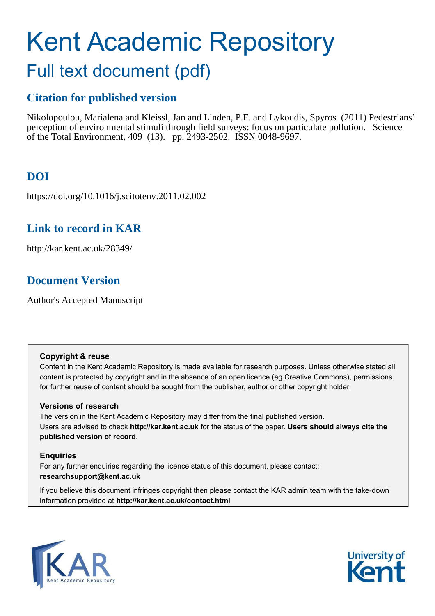# Kent Academic Repository

## Full text document (pdf)

## **Citation for published version**

Nikolopoulou, Marialena and Kleissl, Jan and Linden, P.F. and Lykoudis, Spyros (2011) Pedestrians' perception of environmental stimuli through field surveys: focus on particulate pollution. Science of the Total Environment, 409 (13). pp. 2493-2502. ISSN 0048-9697.

## **DOI**

https://doi.org/10.1016/j.scitotenv.2011.02.002

## **Link to record in KAR**

http://kar.kent.ac.uk/28349/

## **Document Version**

Author's Accepted Manuscript

#### **Copyright & reuse**

Content in the Kent Academic Repository is made available for research purposes. Unless otherwise stated all content is protected by copyright and in the absence of an open licence (eg Creative Commons), permissions for further reuse of content should be sought from the publisher, author or other copyright holder.

#### **Versions of research**

The version in the Kent Academic Repository may differ from the final published version. Users are advised to check **http://kar.kent.ac.uk** for the status of the paper. **Users should always cite the published version of record.**

#### **Enquiries**

For any further enquiries regarding the licence status of this document, please contact: **researchsupport@kent.ac.uk**

If you believe this document infringes copyright then please contact the KAR admin team with the take-down information provided at **http://kar.kent.ac.uk/contact.html**



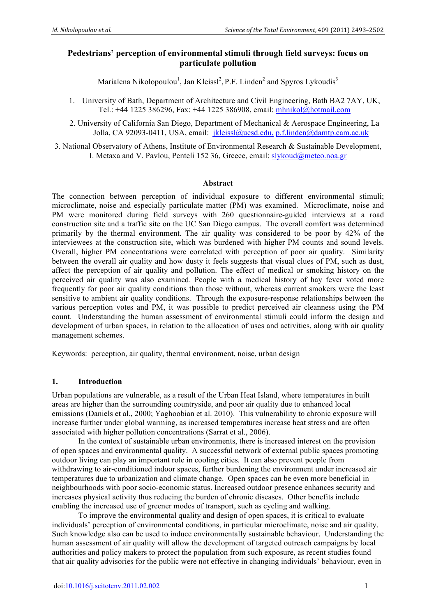#### **Pedestrians' perception of environmental stimuli through field surveys: focus on particulate pollution**

Marialena Nikolopoulou<sup>1</sup>, Jan Kleissl<sup>2</sup>, P.F. Linden<sup>2</sup> and Spyros Lykoudis<sup>3</sup>

- 1. University of Bath, Department of Architecture and Civil Engineering, Bath BA2 7AY, UK, Tel.: +44 1225 386296, Fax: +44 1225 386908, email: mhnikol@hotmail.com
- 2. University of California San Diego, Department of Mechanical & Aerospace Engineering, La Jolla, CA 92093-0411, USA, email: jkleissl@ucsd.edu, p.f.linden@damtp.cam.ac.uk

3. National Observatory of Athens, Institute of Environmental Research & Sustainable Development, I. Metaxa and V. Pavlou, Penteli 152 36, Greece, email: slykoud@meteo.noa.gr

#### **Abstract**

The connection between perception of individual exposure to different environmental stimuli; microclimate, noise and especially particulate matter (PM) was examined. Microclimate, noise and PM were monitored during field surveys with 260 questionnaire-guided interviews at a road construction site and a traffic site on the UC San Diego campus. The overall comfort was determined primarily by the thermal environment. The air quality was considered to be poor by 42% of the interviewees at the construction site, which was burdened with higher PM counts and sound levels. Overall, higher PM concentrations were correlated with perception of poor air quality. Similarity between the overall air quality and how dusty it feels suggests that visual clues of PM, such as dust, affect the perception of air quality and pollution. The effect of medical or smoking history on the perceived air quality was also examined. People with a medical history of hay fever voted more frequently for poor air quality conditions than those without, whereas current smokers were the least sensitive to ambient air quality conditions. Through the exposure-response relationships between the various perception votes and PM, it was possible to predict perceived air cleanness using the PM count. Understanding the human assessment of environmental stimuli could inform the design and development of urban spaces, in relation to the allocation of uses and activities, along with air quality management schemes.

Keywords: perception, air quality, thermal environment, noise, urban design

#### **1. Introduction**

Urban populations are vulnerable, as a result of the Urban Heat Island, where temperatures in built areas are higher than the surrounding countryside, and poor air quality due to enhanced local emissions (Daniels et al., 2000; Yaghoobian et al. 2010). This vulnerability to chronic exposure will increase further under global warming, as increased temperatures increase heat stress and are often associated with higher pollution concentrations (Sarrat et al., 2006).

In the context of sustainable urban environments, there is increased interest on the provision of open spaces and environmental quality. A successful network of external public spaces promoting outdoor living can play an important role in cooling cities. It can also prevent people from withdrawing to air-conditioned indoor spaces, further burdening the environment under increased air temperatures due to urbanization and climate change. Open spaces can be even more beneficial in neighbourhoods with poor socio-economic status. Increased outdoor presence enhances security and increases physical activity thus reducing the burden of chronic diseases. Other benefits include enabling the increased use of greener modes of transport, such as cycling and walking.

To improve the environmental quality and design of open spaces, it is critical to evaluate individuals' perception of environmental conditions, in particular microclimate, noise and air quality. Such knowledge also can be used to induce environmentally sustainable behaviour. Understanding the human assessment of air quality will allow the development of targeted outreach campaigns by local authorities and policy makers to protect the population from such exposure, as recent studies found that air quality advisories for the public were not effective in changing individuals' behaviour, even in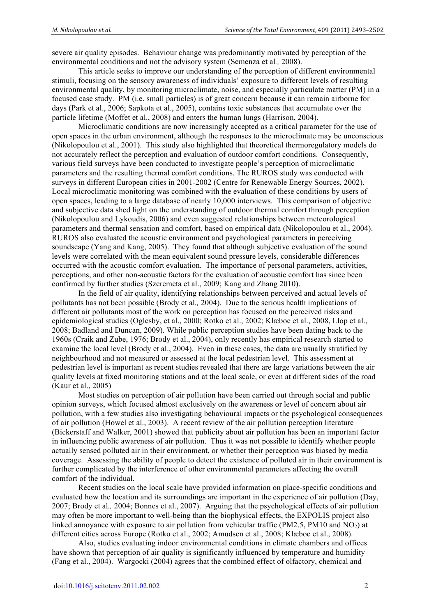severe air quality episodes. Behaviour change was predominantly motivated by perception of the environmental conditions and not the advisory system (Semenza et al*.,* 2008).

This article seeks to improve our understanding of the perception of different environmental stimuli, focusing on the sensory awareness of individuals' exposure to different levels of resulting environmental quality, by monitoring microclimate, noise, and especially particulate matter (PM) in a focused case study. PM (i.e. small particles) is of great concern because it can remain airborne for days (Park et al., 2006; Sapkota et al., 2005), contains toxic substances that accumulate over the particle lifetime (Moffet et al., 2008) and enters the human lungs (Harrison, 2004).

Microclimatic conditions are now increasingly accepted as a critical parameter for the use of open spaces in the urban environment, although the responses to the microclimate may be unconscious (Nikolopoulou et al., 2001). This study also highlighted that theoretical thermoregulatory models do not accurately reflect the perception and evaluation of outdoor comfort conditions. Consequently, various field surveys have been conducted to investigate people's perception of microclimatic parameters and the resulting thermal comfort conditions. The RUROS study was conducted with surveys in different European cities in 2001-2002 (Centre for Renewable Energy Sources, 2002). Local microclimatic monitoring was combined with the evaluation of these conditions by users of open spaces, leading to a large database of nearly 10,000 interviews. This comparison of objective and subjective data shed light on the understanding of outdoor thermal comfort through perception (Nikolopoulou and Lykoudis, 2006) and even suggested relationships between meteorological parameters and thermal sensation and comfort, based on empirical data (Nikolopoulou et al., 2004). RUROS also evaluated the acoustic environment and psychological parameters in perceiving soundscape (Yang and Kang, 2005). They found that although subjective evaluation of the sound levels were correlated with the mean equivalent sound pressure levels, considerable differences occurred with the acoustic comfort evaluation. The importance of personal parameters, activities, perceptions, and other non-acoustic factors for the evaluation of acoustic comfort has since been confirmed by further studies (Szeremeta et al., 2009; Kang and Zhang 2010).

In the field of air quality, identifying relationships between perceived and actual levels of pollutants has not been possible (Brody et al*.,* 2004). Due to the serious health implications of different air pollutants most of the work on perception has focused on the perceived risks and epidemiological studies (Oglesby, et al., 2000; Rotko et al., 2002; Klæboe et al., 2008, Llop et al., 2008; Badland and Duncan, 2009). While public perception studies have been dating back to the 1960s (Craik and Zube, 1976; Brody et al., 2004), only recently has empirical research started to examine the local level (Brody et al., 2004). Even in these cases, the data are usually stratified by neighbourhood and not measured or assessed at the local pedestrian level. This assessment at pedestrian level is important as recent studies revealed that there are large variations between the air quality levels at fixed monitoring stations and at the local scale, or even at different sides of the road (Kaur et al., 2005)

Most studies on perception of air pollution have been carried out through social and public opinion surveys, which focused almost exclusively on the awareness or level of concern about air pollution, with a few studies also investigating behavioural impacts or the psychological consequences of air pollution (Howel et al., 2003). A recent review of the air pollution perception literature (Bickerstaff and Walker, 2001) showed that publicity about air pollution has been an important factor in influencing public awareness of air pollution. Thus it was not possible to identify whether people actually sensed polluted air in their environment, or whether their perception was biased by media coverage. Assessing the ability of people to detect the existence of polluted air in their environment is further complicated by the interference of other environmental parameters affecting the overall comfort of the individual.

Recent studies on the local scale have provided information on place-specific conditions and evaluated how the location and its surroundings are important in the experience of air pollution (Day, 2007; Brody et al*.,* 2004; Bonnes et al., 2007). Arguing that the psychological effects of air pollution may often be more important to well-being than the biophysical effects, the EXPOLIS project also linked annoyance with exposure to air pollution from vehicular traffic (PM2.5, PM10 and  $NO<sub>2</sub>$ ) at different cities across Europe (Rotko et al., 2002; Amudsen et al., 2008; Klæboe et al., 2008).

Also, studies evaluating indoor environmental conditions in climate chambers and offices have shown that perception of air quality is significantly influenced by temperature and humidity (Fang et al., 2004). Wargocki (2004) agrees that the combined effect of olfactory, chemical and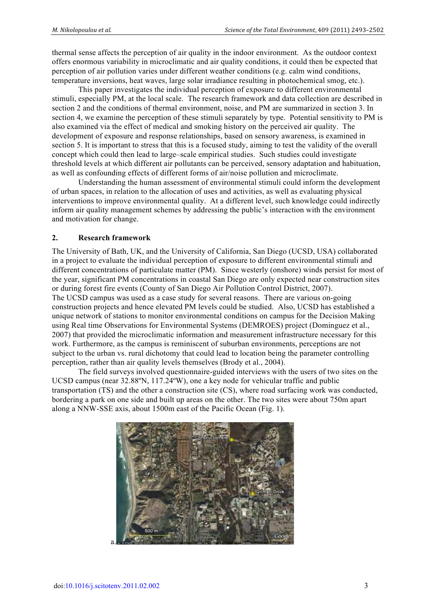thermal sense affects the perception of air quality in the indoor environment. As the outdoor context offers enormous variability in microclimatic and air quality conditions, it could then be expected that perception of air pollution varies under different weather conditions (e.g. calm wind conditions, temperature inversions, heat waves, large solar irradiance resulting in photochemical smog, etc.).

This paper investigates the individual perception of exposure to different environmental stimuli, especially PM, at the local scale. The research framework and data collection are described in section 2 and the conditions of thermal environment, noise, and PM are summarized in section 3. In section 4, we examine the perception of these stimuli separately by type. Potential sensitivity to PM is also examined via the effect of medical and smoking history on the perceived air quality. The development of exposure and response relationships, based on sensory awareness, is examined in section 5. It is important to stress that this is a focused study, aiming to test the validity of the overall concept which could then lead to large–scale empirical studies. Such studies could investigate threshold levels at which different air pollutants can be perceived, sensory adaptation and habituation, as well as confounding effects of different forms of air/noise pollution and microclimate.

Understanding the human assessment of environmental stimuli could inform the development of urban spaces, in relation to the allocation of uses and activities, as well as evaluating physical interventions to improve environmental quality. At a different level, such knowledge could indirectly inform air quality management schemes by addressing the public's interaction with the environment and motivation for change.

#### **2. Research framework**

The University of Bath, UK, and the University of California, San Diego (UCSD, USA) collaborated in a project to evaluate the individual perception of exposure to different environmental stimuli and different concentrations of particulate matter (PM). Since westerly (onshore) winds persist for most of the year, significant PM concentrations in coastal San Diego are only expected near construction sites or during forest fire events (County of San Diego Air Pollution Control District, 2007). The UCSD campus was used as a case study for several reasons. There are various on-going construction projects and hence elevated PM levels could be studied. Also, UCSD has established a unique network of stations to monitor environmental conditions on campus for the Decision Making using Real time Observations for Environmental Systems (DEMROES) project (Dominguez et al., 2007) that provided the microclimatic information and measurement infrastructure necessary for this work. Furthermore, as the campus is reminiscent of suburban environments, perceptions are not subject to the urban vs. rural dichotomy that could lead to location being the parameter controlling perception, rather than air quality levels themselves (Brody et al*.*, 2004).

The field surveys involved questionnaire-guided interviews with the users of two sites on the UCSD campus (near 32.88ºN, 117.24ºW), one a key node for vehicular traffic and public transportation (TS) and the other a construction site (CS), where road surfacing work was conducted, bordering a park on one side and built up areas on the other. The two sites were about 750m apart along a NNW-SSE axis, about 1500m east of the Pacific Ocean (Fig. 1).

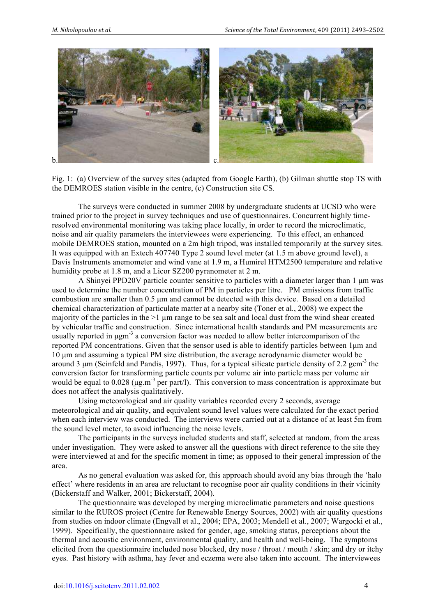

Fig. 1: (a) Overview of the survey sites (adapted from Google Earth), (b) Gilman shuttle stop TS with the DEMROES station visible in the centre, (c) Construction site CS.

The surveys were conducted in summer 2008 by undergraduate students at UCSD who were trained prior to the project in survey techniques and use of questionnaires. Concurrent highly timeresolved environmental monitoring was taking place locally, in order to record the microclimatic, noise and air quality parameters the interviewees were experiencing. To this effect, an enhanced mobile DEMROES station, mounted on a 2m high tripod, was installed temporarily at the survey sites. It was equipped with an Extech 407740 Type 2 sound level meter (at 1.5 m above ground level), a Davis Instruments anemometer and wind vane at 1.9 m, a Humirel HTM2500 temperature and relative humidity probe at 1.8 m, and a Licor SZ200 pyranometer at 2 m.

A Shinyei PPD20V particle counter sensitive to particles with a diameter larger than 1 µm was used to determine the number concentration of PM in particles per litre. PM emissions from traffic combustion are smaller than 0.5 µm and cannot be detected with this device. Based on a detailed chemical characterization of particulate matter at a nearby site (Toner et al*.*, 2008) we expect the majority of the particles in the  $>1$  µm range to be sea salt and local dust from the wind shear created by vehicular traffic and construction. Since international health standards and PM measurements are usually reported in  $\mu$ gm<sup>-3</sup> a conversion factor was needed to allow better intercomparison of the reported PM concentrations. Given that the sensor used is able to identify particles between 1µm and 10 µm and assuming a typical PM size distribution, the average aerodynamic diameter would be around 3  $\mu$ m (Seinfeld and Pandis, 1997). Thus, for a typical silicate particle density of 2.2 gcm<sup>-3</sup> the conversion factor for transforming particle counts per volume air into particle mass per volume air would be equal to  $0.028$  ( $\mu$ g.m<sup>-3</sup> per part/l). This conversion to mass concentration is approximate but does not affect the analysis qualitatively.

Using meteorological and air quality variables recorded every 2 seconds, average meteorological and air quality, and equivalent sound level values were calculated for the exact period when each interview was conducted. The interviews were carried out at a distance of at least 5m from the sound level meter, to avoid influencing the noise levels.

The participants in the surveys included students and staff, selected at random, from the areas under investigation. They were asked to answer all the questions with direct reference to the site they were interviewed at and for the specific moment in time; as opposed to their general impression of the area.

As no general evaluation was asked for, this approach should avoid any bias through the 'halo effect' where residents in an area are reluctant to recognise poor air quality conditions in their vicinity (Bickerstaff and Walker, 2001; Bickerstaff, 2004).

The questionnaire was developed by merging microclimatic parameters and noise questions similar to the RUROS project (Centre for Renewable Energy Sources, 2002) with air quality questions from studies on indoor climate (Engvall et al., 2004; EPA, 2003; Mendell et al., 2007; Wargocki et al., 1999). Specifically, the questionnaire asked for gender, age, smoking status, perceptions about the thermal and acoustic environment, environmental quality, and health and well-being. The symptoms elicited from the questionnaire included nose blocked, dry nose / throat / mouth / skin; and dry or itchy eyes. Past history with asthma, hay fever and eczema were also taken into account. The interviewees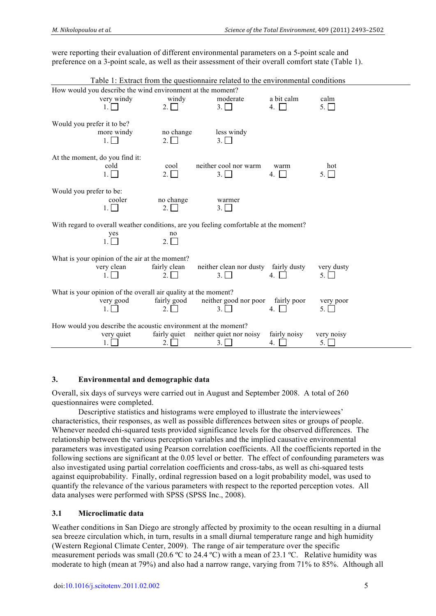were reporting their evaluation of different environmental parameters on a 5-point scale and preference on a 3-point scale, as well as their assessment of their overall comfort state (Table 1).

|                                | Table 1: Extract from the questionnaire related to the environmental conditions                                  |                             |                                             |                         |                           |
|--------------------------------|------------------------------------------------------------------------------------------------------------------|-----------------------------|---------------------------------------------|-------------------------|---------------------------|
|                                | How would you describe the wind environment at the moment?<br>very windy<br>1.1                                  | windy<br>$2. \Box$          | moderate<br>3.1 <sub>1</sub>                | a bit calm<br>4.        | calm<br>5. $\Box$         |
| Would you prefer it to be?     | more windy<br>$1 \mid$                                                                                           | no change<br>$2\Box$        | less windy<br>3.1 <sub>1</sub>              |                         |                           |
| At the moment, do you find it: | cold<br>$1. \Box$                                                                                                | cool<br>2.                  | neither cool nor warm<br>3.                 | warm<br>4. $\Box$       | hot<br>5.                 |
| Would you prefer to be:        | cooler                                                                                                           | no change<br>2 <sub>1</sub> | warmer<br>$3 \perp$                         |                         |                           |
|                                | With regard to overall weather conditions, are you feeling comfortable at the moment?<br>yes<br>1.1 <sub>1</sub> | no<br>$2. \Box$             |                                             |                         |                           |
|                                | What is your opinion of the air at the moment?<br>very clean<br>1                                                | fairly clean<br>$2 \mid$    | neither clean nor dusty fairly dusty<br>3.1 | 4. $\Box$               | very dusty<br>$5. \sqcup$ |
|                                | What is your opinion of the overall air quality at the moment?<br>very good<br>$\mathbf{1}$                      | fairly good                 | neither good nor poor<br>3.                 | fairly poor<br>$4 \mid$ | very poor<br>5.1          |
|                                | How would you describe the acoustic environment at the moment?<br>very quiet<br>1.                               | fairly quiet<br>2.          | neither quiet nor noisy<br>3.               | fairly noisy<br>4.      | very noisy<br>5.          |

#### **3. Environmental and demographic data**

Overall, six days of surveys were carried out in August and September 2008. A total of 260 questionnaires were completed.

Descriptive statistics and histograms were employed to illustrate the interviewees' characteristics, their responses, as well as possible differences between sites or groups of people. Whenever needed chi-squared tests provided significance levels for the observed differences. The relationship between the various perception variables and the implied causative environmental parameters was investigated using Pearson correlation coefficients. All the coefficients reported in the following sections are significant at the 0.05 level or better. The effect of confounding parameters was also investigated using partial correlation coefficients and cross-tabs, as well as chi-squared tests against equiprobability. Finally, ordinal regression based on a logit probability model, was used to quantify the relevance of the various parameters with respect to the reported perception votes. All data analyses were performed with SPSS (SPSS Inc., 2008).

#### **3.1 Microclimatic data**

Weather conditions in San Diego are strongly affected by proximity to the ocean resulting in a diurnal sea breeze circulation which, in turn, results in a small diurnal temperature range and high humidity (Western Regional Climate Center, 2009). The range of air temperature over the specific measurement periods was small (20.6 ºC to 24.4 ºC) with a mean of 23.1 ºC. Relative humidity was moderate to high (mean at 79%) and also had a narrow range, varying from 71% to 85%. Although all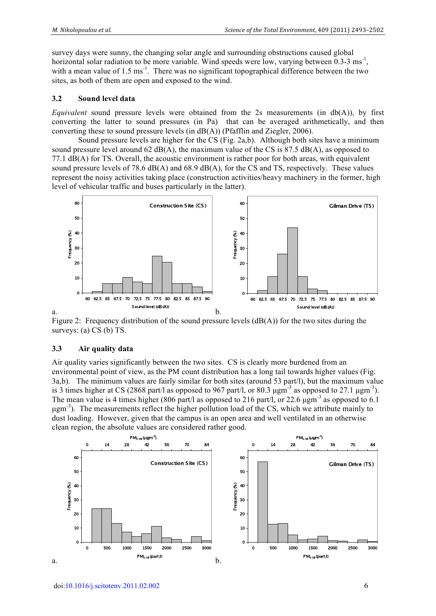survey days were sunny, the changing solar angle and surrounding obstructions caused global horizontal solar radiation to be more variable. Wind speeds were low, varying between  $0.3-3 \text{ ms}^{-1}$ , with a mean value of  $1.5 \text{ ms}^{-1}$ . There was no significant topographical difference between the two sites, as both of them are open and exposed to the wind.

#### **3.2 Sound level data**

*Equivalent* sound pressure levels were obtained from the 2s measurements (in db(A)), by first converting the latter to sound pressures (in Pa) that can be averaged arithmetically, and then converting these to sound pressure levels (in dB(A)) (Pfafflin and Ziegler, 2006).

Sound pressure levels are higher for the CS (Fig. 2a,b). Although both sites have a minimum sound pressure level around  $62 \text{ dB}(A)$ , the maximum value of the CS is  $87.5 \text{ dB}(A)$ , as opposed to 77.1 dB(A) for TS. Overall, the acoustic environment is rather poor for both areas, with equivalent sound pressure levels of 78.6  $dB(A)$  and 68.9  $dB(A)$ , for the CS and TS, respectively. These values represent the noisy activities taking place (construction activities/heavy machinery in the former, high level of vehicular traffic and buses particularly in the latter).



Figure 2: Frequency distribution of the sound pressure levels  $(dB(A))$  for the two sites during the surveys: (a) CS (b) TS.

#### **3.3 Air quality data**

Air quality varies significantly between the two sites. CS is clearly more burdened from an environmental point of view, as the PM count distribution has a long tail towards higher values (Fig. 3a,b). The minimum values are fairly similar for both sites (around 53 part/l), but the maximum value is 3 times higher at CS (2868 part/l as opposed to 967 part/l, or 80.3  $\mu$ gm<sup>-3</sup> as opposed to 27.1  $\mu$ gm<sup>-3</sup>). The mean value is 4 times higher (806 part/l as opposed to 216 part/l, or 22.6  $\mu$ gm<sup>-3</sup> as opposed to 6.1 µgm<sup>-3</sup>). The measurements reflect the higher pollution load of the CS, which we attribute mainly to dust loading. However, given that the campus is an open area and well ventilated in an otherwise clean region, the absolute values are considered rather good.

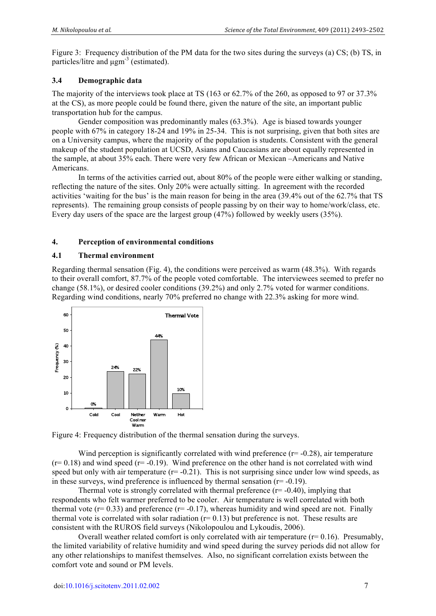Figure 3: Frequency distribution of the PM data for the two sites during the surveys (a) CS; (b) TS, in particles/litre and ugm<sup>-3</sup> (estimated).

#### **3.4 Demographic data**

The majority of the interviews took place at TS (163 or 62.7% of the 260, as opposed to 97 or 37.3% at the CS), as more people could be found there, given the nature of the site, an important public transportation hub for the campus.

Gender composition was predominantly males (63.3%). Age is biased towards younger people with 67% in category 18-24 and 19% in 25-34. This is not surprising, given that both sites are on a University campus, where the majority of the population is students. Consistent with the general makeup of the student population at UCSD, Asians and Caucasians are about equally represented in the sample, at about 35% each. There were very few African or Mexican –Americans and Native Americans.

 In terms of the activities carried out, about 80% of the people were either walking or standing, reflecting the nature of the sites. Only 20% were actually sitting. In agreement with the recorded activities 'waiting for the bus' is the main reason for being in the area (39.4% out of the 62.7% that TS represents). The remaining group consists of people passing by on their way to home/work/class, etc. Every day users of the space are the largest group (47%) followed by weekly users (35%).

#### **4. Perception of environmental conditions**

#### **4.1 Thermal environment**

Regarding thermal sensation (Fig. 4), the conditions were perceived as warm (48.3%). With regards to their overall comfort, 87.7% of the people voted comfortable. The interviewees seemed to prefer no change (58.1%), or desired cooler conditions (39.2%) and only 2.7% voted for warmer conditions. Regarding wind conditions, nearly 70% preferred no change with 22.3% asking for more wind.



Figure 4: Frequency distribution of the thermal sensation during the surveys.

Wind perception is significantly correlated with wind preference  $(r=0.28)$ , air temperature  $(r= 0.18)$  and wind speed  $(r=-0.19)$ . Wind preference on the other hand is not correlated with wind speed but only with air temperature  $(r=-0.21)$ . This is not surprising since under low wind speeds, as in these surveys, wind preference is influenced by thermal sensation  $(r= -0.19)$ .

Thermal vote is strongly correlated with thermal preference  $(r= -0.40)$ , implying that respondents who felt warmer preferred to be cooler. Air temperature is well correlated with both thermal vote  $(r= 0.33)$  and preference  $(r=-0.17)$ , whereas humidity and wind speed are not. Finally thermal vote is correlated with solar radiation  $(r= 0.13)$  but preference is not. These results are consistent with the RUROS field surveys (Nikolopoulou and Lykoudis, 2006).

Overall weather related comfort is only correlated with air temperature  $(r= 0.16)$ . Presumably, the limited variability of relative humidity and wind speed during the survey periods did not allow for any other relationships to manifest themselves. Also, no significant correlation exists between the comfort vote and sound or PM levels.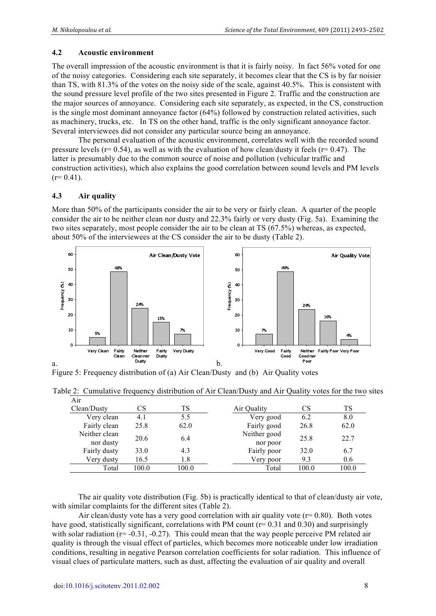#### **4.2 Acoustic environment**

The overall impression of the acoustic environment is that it is fairly noisy. In fact 56% voted for one of the noisy categories. Considering each site separately, it becomes clear that the CS is by far noisier than TS, with 81.3% of the votes on the noisy side of the scale, against 40.5%. This is consistent with the sound pressure level profile of the two sites presented in Figure 2. Traffic and the construction are the major sources of annoyance. Considering each site separately, as expected, in the CS, construction is the single most dominant annoyance factor (64%) followed by construction related activities, such as machinery, trucks, etc. In TS on the other hand, traffic is the only significant annoyance factor. Several interviewees did not consider any particular source being an annoyance.

The personal evaluation of the acoustic environment, correlates well with the recorded sound pressure levels ( $r= 0.54$ ), as well as with the evaluation of how clean/dusty it feels ( $r= 0.47$ ). The latter is presumably due to the common source of noise and pollution (vehicular traffic and construction activities), which also explains the good correlation between sound levels and PM levels  $(r= 0.41)$ .

#### **4.3 Air quality**

More than 50% of the participants consider the air to be very or fairly clean. A quarter of the people consider the air to be neither clean nor dusty and 22.3% fairly or very dusty (Fig. 5a). Examining the two sites separately, most people consider the air to be clean at TS (67.5%) whereas, as expected, about 50% of the interviewees at the CS consider the air to be dusty (Table 2).



Figure 5: Frequency distribution of (a) Air Clean/Dusty and (b) Air Quality votes

| Air           |       |       |              |       |       |  |
|---------------|-------|-------|--------------|-------|-------|--|
| Clean/Dusty   | CS    | TS    | Air Quality  | CS    | TS    |  |
| Very clean    | 4.1   | 5.5   | Very good    | 6.2   | 8.0   |  |
| Fairly clean  | 25.8  | 62.0  | Fairly good  | 26.8  | 62.0  |  |
| Neither clean | 20.6  | 6.4   | Neither good | 25.8  | 22.7  |  |
| nor dusty     |       |       | nor poor     |       |       |  |
| Fairly dusty  | 33.0  | 4.3   | Fairly poor  | 32.0  | 6.7   |  |
| Very dusty    | 16.5  | 1.8   | Very poor    | 9.3   | 0.6   |  |
| Total         | 100.0 | 100.0 | Total        | 100.0 | 100.0 |  |

Table 2: Cumulative frequency distribution of Air Clean/Dusty and Air Quality votes for the two sites

The air quality vote distribution (Fig. 5b) is practically identical to that of clean/dusty air vote, with similar complaints for the different sites (Table 2).

Air clean/dusty vote has a very good correlation with air quality vote  $(r= 0.80)$ . Both votes have good, statistically significant, correlations with PM count ( $r= 0.31$  and 0.30) and surprisingly with solar radiation  $(r=-0.31, -0.27)$ . This could mean that the way people perceive PM related air quality is through the visual effect of particles, which becomes more noticeable under low irradiation conditions, resulting in negative Pearson correlation coefficients for solar radiation. This influence of visual clues of particulate matters, such as dust, affecting the evaluation of air quality and overall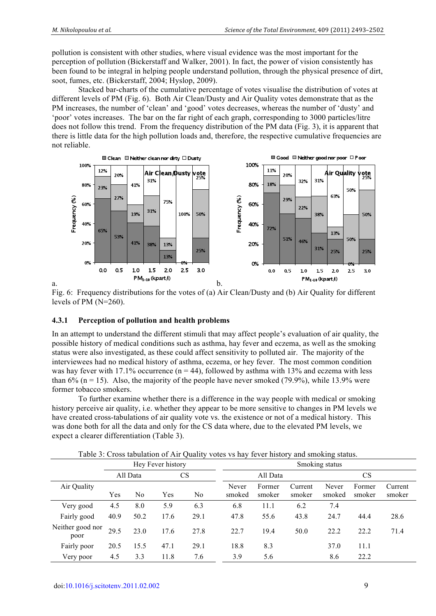pollution is consistent with other studies, where visual evidence was the most important for the perception of pollution (Bickerstaff and Walker, 2001). In fact, the power of vision consistently has been found to be integral in helping people understand pollution, through the physical presence of dirt, soot, fumes, etc. (Bickerstaff, 2004; Hyslop, 2009).

Stacked bar-charts of the cumulative percentage of votes visualise the distribution of votes at different levels of PM (Fig. 6). Both Air Clean/Dusty and Air Quality votes demonstrate that as the PM increases, the number of 'clean' and 'good' votes decreases, whereas the number of 'dusty' and 'poor' votes increases. The bar on the far right of each graph, corresponding to 3000 particles/litre does not follow this trend. From the frequency distribution of the PM data (Fig. 3), it is apparent that there is little data for the high pollution loads and, therefore, the respective cumulative frequencies are not reliable.



Fig. 6: Frequency distributions for the votes of (a) Air Clean/Dusty and (b) Air Quality for different levels of PM (N=260).

#### **4.3.1 Perception of pollution and health problems**

In an attempt to understand the different stimuli that may affect people's evaluation of air quality, the possible history of medical conditions such as asthma, hay fever and eczema, as well as the smoking status were also investigated, as these could affect sensitivity to polluted air. The majority of the interviewees had no medical history of asthma, eczema, or hey fever. The most common condition was hay fever with 17.1% occurrence ( $n = 44$ ), followed by asthma with 13% and eczema with less than 6% ( $n = 15$ ). Also, the majority of the people have never smoked (79.9%), while 13.9% were former tobacco smokers.

To further examine whether there is a difference in the way people with medical or smoking history perceive air quality, i.e. whether they appear to be more sensitive to changes in PM levels we have created cross-tabulations of air quality vote vs. the existence or not of a medical history. This was done both for all the data and only for the CS data where, due to the elevated PM levels, we expect a clearer differentiation (Table 3).

|                          |          |                | Hey Fever history |      | Smoking status  |                  |                   |                 |                  |                   |  |  |
|--------------------------|----------|----------------|-------------------|------|-----------------|------------------|-------------------|-----------------|------------------|-------------------|--|--|
|                          | All Data |                | CS                |      |                 | All Data         |                   |                 | CS               |                   |  |  |
| Air Quality              | Yes      | N <sub>0</sub> | Yes               | No   | Never<br>smoked | Former<br>smoker | Current<br>smoker | Never<br>smoked | Former<br>smoker | Current<br>smoker |  |  |
| Very good                | 4.5      | 8.0            | 5.9               | 6.3  | 6.8             | 11.1             | 6.2               | 7.4             |                  |                   |  |  |
| Fairly good              | 40.9     | 50.2           | 17.6              | 29.1 | 47.8            | 55.6             | 43.8              | 24.7            | 44.4             | 28.6              |  |  |
| Neither good nor<br>poor | 29.5     | 23.0           | 17.6              | 27.8 | 22.7            | 19.4             | 50.0              | 22.2            | 22.2             | 71.4              |  |  |
| Fairly poor              | 20.5     | 15.5           | 47.1              | 29.1 | 18.8            | 8.3              |                   | 37.0            | 11.1             |                   |  |  |
| Very poor                | 4.5      | 3.3            | 11.8              | 7.6  | 3.9             | 5.6              |                   | 8.6             | 22.2             |                   |  |  |

Table 3: Cross tabulation of Air Quality votes vs hay fever history and smoking status.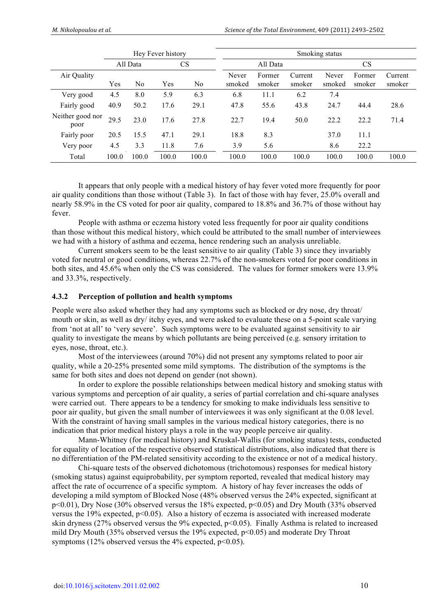|                          |                       |                | Hey Fever history |       |                 | Smoking status   |                   |                 |                  |                   |  |
|--------------------------|-----------------------|----------------|-------------------|-------|-----------------|------------------|-------------------|-----------------|------------------|-------------------|--|
|                          | All Data<br><b>CS</b> |                |                   |       | All Data        |                  |                   | <b>CS</b>       |                  |                   |  |
| Air Quality              | Yes                   | N <sub>0</sub> | Yes               | No    | Never<br>smoked | Former<br>smoker | Current<br>smoker | Never<br>smoked | Former<br>smoker | Current<br>smoker |  |
| Very good                | 4.5                   | 8.0            | 5.9               | 6.3   | 6.8             | 11.1             | 6.2               | 7.4             |                  |                   |  |
| Fairly good              | 40.9                  | 50.2           | 17.6              | 29.1  | 47.8            | 55.6             | 43.8              | 24.7            | 44.4             | 28.6              |  |
| Neither good nor<br>poor | 29.5                  | 23.0           | 17.6              | 27.8  | 22.7            | 19.4             | 50.0              | 22.2            | 22.2             | 71.4              |  |
| Fairly poor              | 20.5                  | 15.5           | 47.1              | 29.1  | 18.8            | 8.3              |                   | 37.0            | 11.1             |                   |  |
| Very poor                | 4.5                   | 3.3            | 11.8              | 7.6   | 3.9             | 5.6              |                   | 8.6             | 22.2             |                   |  |
| Total                    | 100.0                 | 100.0          | 100.0             | 100.0 | 100.0           | 100.0            | 100.0             | 100.0           | 100.0            | 100.0             |  |

It appears that only people with a medical history of hay fever voted more frequently for poor air quality conditions than those without (Table 3). In fact of those with hay fever, 25.0% overall and nearly 58.9% in the CS voted for poor air quality, compared to 18.8% and 36.7% of those without hay fever.

People with asthma or eczema history voted less frequently for poor air quality conditions than those without this medical history, which could be attributed to the small number of interviewees we had with a history of asthma and eczema, hence rendering such an analysis unreliable.

Current smokers seem to be the least sensitive to air quality (Table 3) since they invariably voted for neutral or good conditions, whereas 22.7% of the non-smokers voted for poor conditions in both sites, and 45.6% when only the CS was considered. The values for former smokers were 13.9% and 33.3%, respectively.

#### **4.3.2 Perception of pollution and health symptoms**

People were also asked whether they had any symptoms such as blocked or dry nose, dry throat/ mouth or skin, as well as dry/ itchy eyes, and were asked to evaluate these on a 5-point scale varying from 'not at all' to 'very severe'. Such symptoms were to be evaluated against sensitivity to air quality to investigate the means by which pollutants are being perceived (e.g. sensory irritation to eyes, nose, throat, etc.).

Most of the interviewees (around 70%) did not present any symptoms related to poor air quality, while a 20-25% presented some mild symptoms. The distribution of the symptoms is the same for both sites and does not depend on gender (not shown).

In order to explore the possible relationships between medical history and smoking status with various symptoms and perception of air quality, a series of partial correlation and chi-square analyses were carried out. There appears to be a tendency for smoking to make individuals less sensitive to poor air quality, but given the small number of interviewees it was only significant at the 0.08 level. With the constraint of having small samples in the various medical history categories, there is no indication that prior medical history plays a role in the way people perceive air quality.

Mann-Whitney (for medical history) and Kruskal-Wallis (for smoking status) tests, conducted for equality of location of the respective observed statistical distributions, also indicated that there is no differentiation of the PM-related sensitivity according to the existence or not of a medical history.

Chi-square tests of the observed dichotomous (trichotomous) responses for medical history (smoking status) against equiprobability, per symptom reported, revealed that medical history may affect the rate of occurrence of a specific symptom. A history of hay fever increases the odds of developing a mild symptom of Blocked Nose (48% observed versus the 24% expected, significant at  $p<0.01$ ), Dry Nose (30% observed versus the 18% expected,  $p<0.05$ ) and Dry Mouth (33% observed versus the 19% expected, p<0.05). Also a history of eczema is associated with increased moderate skin dryness (27% observed versus the 9% expected, p<0.05). Finally Asthma is related to increased mild Dry Mouth (35% observed versus the 19% expected, p<0.05) and moderate Dry Throat symptoms (12% observed versus the  $4%$  expected,  $p<0.05$ ).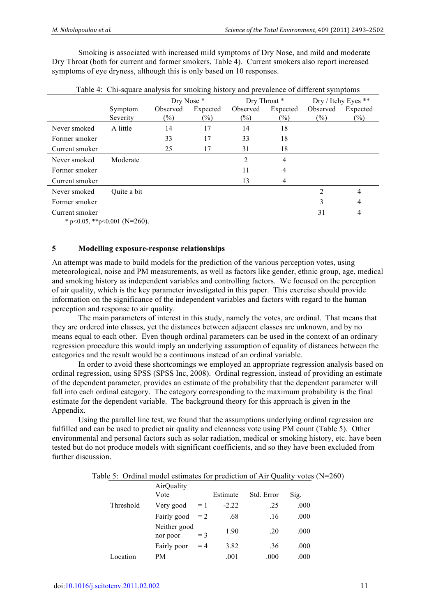Smoking is associated with increased mild symptoms of Dry Nose, and mild and moderate Dry Throat (both for current and former smokers, Table 4). Current smokers also report increased symptoms of eye dryness, although this is only based on 10 responses.

|                |                     | Dry Nose *                               |    | Dry Throat *       |                    | Dry / Itchy Eyes ** |                    |
|----------------|---------------------|------------------------------------------|----|--------------------|--------------------|---------------------|--------------------|
|                | Symptom<br>Severity | Observed<br>Expected<br>$(\%)$<br>$(\%)$ |    | Observed<br>$(\%)$ | Expected<br>$(\%)$ | Observed<br>$(\%)$  | Expected<br>$(\%)$ |
| Never smoked   | A little            | 14                                       | 17 | 14                 | 18                 |                     |                    |
| Former smoker  |                     | 33                                       | 17 | 33                 | 18                 |                     |                    |
| Current smoker |                     | 25                                       | 17 | 31                 | 18                 |                     |                    |
| Never smoked   | Moderate            |                                          |    | $\overline{2}$     | 4                  |                     |                    |
| Former smoker  |                     |                                          |    | 11                 | 4                  |                     |                    |
| Current smoker |                     |                                          |    | 13                 | 4                  |                     |                    |
| Never smoked   | Quite a bit         |                                          |    |                    |                    | $\overline{2}$      | 4                  |
| Former smoker  |                     |                                          |    |                    |                    | 3                   | 4                  |
| Current smoker |                     |                                          |    |                    |                    | 31                  | 4                  |

|  |  |  |  | Table 4: Chi-square analysis for smoking history and prevalence of different symptoms |  |
|--|--|--|--|---------------------------------------------------------------------------------------|--|
|--|--|--|--|---------------------------------------------------------------------------------------|--|

\* p<0.05, \*\*p<0.001 (N=260).

#### **5 Modelling exposure-response relationships**

An attempt was made to build models for the prediction of the various perception votes, using meteorological, noise and PM measurements, as well as factors like gender, ethnic group, age, medical and smoking history as independent variables and controlling factors. We focused on the perception of air quality, which is the key parameter investigated in this paper. This exercise should provide information on the significance of the independent variables and factors with regard to the human perception and response to air quality.

The main parameters of interest in this study, namely the votes, are ordinal. That means that they are ordered into classes, yet the distances between adjacent classes are unknown, and by no means equal to each other. Even though ordinal parameters can be used in the context of an ordinary regression procedure this would imply an underlying assumption of equality of distances between the categories and the result would be a continuous instead of an ordinal variable.

In order to avoid these shortcomings we employed an appropriate regression analysis based on ordinal regression, using SPSS (SPSS Inc, 2008). Ordinal regression, instead of providing an estimate of the dependent parameter, provides an estimate of the probability that the dependent parameter will fall into each ordinal category. The category corresponding to the maximum probability is the final estimate for the dependent variable. The background theory for this approach is given in the Appendix.

Using the parallel line test, we found that the assumptions underlying ordinal regression are fulfilled and can be used to predict air quality and cleanness vote using PM count (Table 5). Other environmental and personal factors such as solar radiation, medical or smoking history, etc. have been tested but do not produce models with significant coefficients, and so they have been excluded from further discussion.

|  |  |  |  | Table 5: Ordinal model estimates for prediction of Air Quality votes (N=260) |  |
|--|--|--|--|------------------------------------------------------------------------------|--|
|--|--|--|--|------------------------------------------------------------------------------|--|

|           | AirQuality<br>Vote       |       | Estimate | Std. Error | Sig. |
|-----------|--------------------------|-------|----------|------------|------|
| Threshold | Very good                | $=1$  | $-2.22$  | .25        | .000 |
|           | Fairly good              | $= 2$ | .68      | .16        | .000 |
|           | Neither good<br>nor poor | $=$ 3 | 1.90     | .20        | .000 |
|           | Fairly poor              | $=4$  | 3.82     | .36        | .000 |
| Location  | PМ                       |       | .001     | .000       | .000 |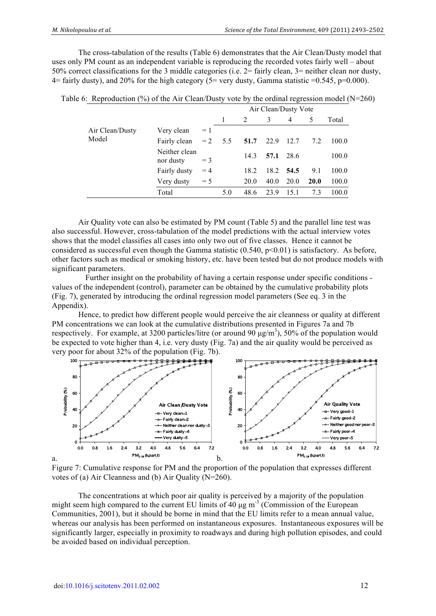The cross-tabulation of the results (Table 6) demonstrates that the Air Clean/Dusty model that uses only PM count as an independent variable is reproducing the recorded votes fairly well – about 50% correct classifications for the 3 middle categories (i.e. 2= fairly clean, 3= neither clean nor dusty, 4= fairly dusty), and 20% for the high category (5= very dusty, Gamma statistic =0.545, p=0.000).

|                            | Air Clean/Dusty Vote |     |      |      |                |              |       |  |  |
|----------------------------|----------------------|-----|------|------|----------------|--------------|-------|--|--|
|                            |                      |     | 2    | 3    | $\overline{4}$ | 5            | Total |  |  |
| Very clean                 | $= 1$                |     |      |      |                |              |       |  |  |
| Fairly clean               | $=2$                 | 5.5 | 51.7 | 22.9 | 12.7           | 7.2          | 100.0 |  |  |
| Neither clean<br>nor dusty | $=$ 3                |     | 14.3 |      | 28.6           |              | 100.0 |  |  |
| Fairly dusty               | $=4$                 |     | 18.2 |      | - 54.5         | 9.1          | 100.0 |  |  |
| Very dusty                 | $= 5$                |     | 20.0 | 40.0 | 20.0           | <b>20.0</b>  | 100.0 |  |  |
| Total                      |                      | 5.0 | 48.6 | 23.9 | 15.1           | 7.3          | 100.0 |  |  |
|                            |                      |     |      |      |                | 57.1<br>18.2 |       |  |  |

|  |  | Table 6: Reproduction (%) of the Air Clean/Dusty vote by the ordinal regression model ( $N=260$ ) |  |  |  |  |  |  |  |  |  |  |  |
|--|--|---------------------------------------------------------------------------------------------------|--|--|--|--|--|--|--|--|--|--|--|
|--|--|---------------------------------------------------------------------------------------------------|--|--|--|--|--|--|--|--|--|--|--|

Air Quality vote can also be estimated by PM count (Table 5) and the parallel line test was also successful. However, cross-tabulation of the model predictions with the actual interview votes shows that the model classifies all cases into only two out of five classes. Hence it cannot be considered as successful even though the Gamma statistic  $(0.540, p<0.01)$  is satisfactory. As before, other factors such as medical or smoking history, etc. have been tested but do not produce models with significant parameters.

Further insight on the probability of having a certain response under specific conditions values of the independent (control), parameter can be obtained by the cumulative probability plots (Fig. 7), generated by introducing the ordinal regression model parameters (See eq. 3 in the Appendix).

Hence, to predict how different people would perceive the air cleanness or quality at different PM concentrations we can look at the cumulative distributions presented in Figures 7a and 7b respectively. For example, at 3200 particles/litre (or around 90  $\mu$ g/m<sup>3</sup>), 50% of the population would be expected to vote higher than 4, i.e. very dusty (Fig. 7a) and the air quality would be perceived as very poor for about 32% of the population (Fig. 7b).





The concentrations at which poor air quality is perceived by a majority of the population might seem high compared to the current EU limits of  $40 \mu g$  m<sup>-3</sup> (Commission of the European Communities, 2001), but it should be borne in mind that the EU limits refer to a mean annual value, whereas our analysis has been performed on instantaneous exposures. Instantaneous exposures will be significantly larger, especially in proximity to roadways and during high pollution episodes, and could be avoided based on individual perception.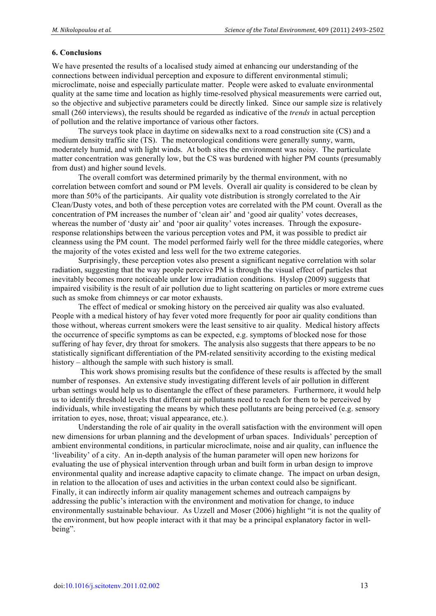#### **6. Conclusions**

We have presented the results of a localised study aimed at enhancing our understanding of the connections between individual perception and exposure to different environmental stimuli; microclimate, noise and especially particulate matter. People were asked to evaluate environmental quality at the same time and location as highly time-resolved physical measurements were carried out, so the objective and subjective parameters could be directly linked. Since our sample size is relatively small (260 interviews), the results should be regarded as indicative of the *trends* in actual perception of pollution and the relative importance of various other factors.

The surveys took place in daytime on sidewalks next to a road construction site (CS) and a medium density traffic site (TS). The meteorological conditions were generally sunny, warm, moderately humid, and with light winds. At both sites the environment was noisy. The particulate matter concentration was generally low, but the CS was burdened with higher PM counts (presumably from dust) and higher sound levels.

The overall comfort was determined primarily by the thermal environment, with no correlation between comfort and sound or PM levels. Overall air quality is considered to be clean by more than 50% of the participants. Air quality vote distribution is strongly correlated to the Air Clean/Dusty votes, and both of these perception votes are correlated with the PM count. Overall as the concentration of PM increases the number of 'clean air' and 'good air quality' votes decreases, whereas the number of 'dusty air' and 'poor air quality' votes increases. Through the exposureresponse relationships between the various perception votes and PM, it was possible to predict air cleanness using the PM count. The model performed fairly well for the three middle categories, where the majority of the votes existed and less well for the two extreme categories.

Surprisingly, these perception votes also present a significant negative correlation with solar radiation, suggesting that the way people perceive PM is through the visual effect of particles that inevitably becomes more noticeable under low irradiation conditions. Hyslop (2009) suggests that impaired visibility is the result of air pollution due to light scattering on particles or more extreme cues such as smoke from chimneys or car motor exhausts.

The effect of medical or smoking history on the perceived air quality was also evaluated. People with a medical history of hay fever voted more frequently for poor air quality conditions than those without, whereas current smokers were the least sensitive to air quality. Medical history affects the occurrence of specific symptoms as can be expected, e.g. symptoms of blocked nose for those suffering of hay fever, dry throat for smokers. The analysis also suggests that there appears to be no statistically significant differentiation of the PM-related sensitivity according to the existing medical history – although the sample with such history is small.

 This work shows promising results but the confidence of these results is affected by the small number of responses. An extensive study investigating different levels of air pollution in different urban settings would help us to disentangle the effect of these parameters. Furthermore, it would help us to identify threshold levels that different air pollutants need to reach for them to be perceived by individuals, while investigating the means by which these pollutants are being perceived (e.g. sensory irritation to eyes, nose, throat; visual appearance, etc.).

Understanding the role of air quality in the overall satisfaction with the environment will open new dimensions for urban planning and the development of urban spaces. Individuals' perception of ambient environmental conditions, in particular microclimate, noise and air quality, can influence the 'liveability' of a city. An in-depth analysis of the human parameter will open new horizons for evaluating the use of physical intervention through urban and built form in urban design to improve environmental quality and increase adaptive capacity to climate change. The impact on urban design, in relation to the allocation of uses and activities in the urban context could also be significant. Finally, it can indirectly inform air quality management schemes and outreach campaigns by addressing the public's interaction with the environment and motivation for change, to induce environmentally sustainable behaviour. As Uzzell and Moser (2006) highlight "it is not the quality of the environment, but how people interact with it that may be a principal explanatory factor in wellbeing".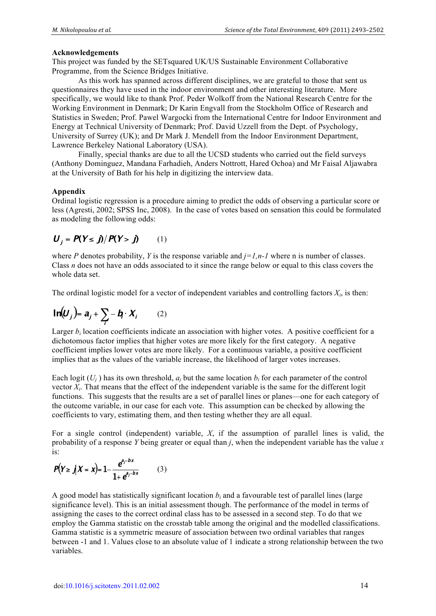#### **Acknowledgements**

This project was funded by the SETsquared UK/US Sustainable Environment Collaborative Programme, from the Science Bridges Initiative.

As this work has spanned across different disciplines, we are grateful to those that sent us questionnaires they have used in the indoor environment and other interesting literature. More specifically, we would like to thank Prof. Peder Wolkoff from the National Research Centre for the Working Environment in Denmark; Dr Karin Engvall from the Stockholm Office of Research and Statistics in Sweden; Prof. Pawel Wargocki from the International Centre for Indoor Environment and Energy at Technical University of Denmark; Prof. David Uzzell from the Dept. of Psychology, University of Surrey (UK); and Dr Mark J. Mendell from the Indoor Environment Department, Lawrence Berkeley National Laboratory (USA).

Finally, special thanks are due to all the UCSD students who carried out the field surveys (Anthony Dominguez, Mandana Farhadieh, Anders Nottrott, Hared Ochoa) and Mr Faisal Aljawabra at the University of Bath for his help in digitizing the interview data.

#### **Appendix**

Ordinal logistic regression is a procedure aiming to predict the odds of observing a particular score or less (Agresti, 2002; SPSS Inc, 2008). In the case of votes based on sensation this could be formulated as modeling the following odds:

$$
U_j = P(Y \le j) / P(Y > j)
$$
 (1)

where *P* denotes probability, *Y* is the response variable and  $j=l, n-l$  where n is number of classes. Class *n* does not have an odds associated to it since the range below or equal to this class covers the whole data set.

The ordinal logistic model for a vector of independent variables and controlling factors  $X_i$ , is then:

$$
\ln(U_j) = a_j + \sum_i -b_i \cdot X_i \qquad (2)
$$

Larger  $b_i$  location coefficients indicate an association with higher votes. A positive coefficient for a dichotomous factor implies that higher votes are more likely for the first category. A negative coefficient implies lower votes are more likely. For a continuous variable, a positive coefficient implies that as the values of the variable increase, the likelihood of larger votes increases.

Each logit  $(U_j)$  has its own threshold,  $a_j$  but the same location  $b_i$  for each parameter of the control vector *X<sup>i</sup>* . That means that the effect of the independent variable is the same for the different logit functions. This suggests that the results are a set of parallel lines or planes—one for each category of the outcome variable, in our case for each vote. This assumption can be checked by allowing the coefficients to vary, estimating them, and then testing whether they are all equal.

For a single control (independent) variable, *X*, if the assumption of parallel lines is valid, the probability of a response *Y* being greater or equal than *j*, when the independent variable has the value *x* is:

$$
P(Y \ge j | X = x) = 1 - \frac{e^{a_j - bx}}{1 + e^{a_j - bx}}
$$
 (3)

A good model has statistically significant location  $b_i$  and a favourable test of parallel lines (large significance level). This is an initial assessment though. The performance of the model in terms of assigning the cases to the correct ordinal class has to be assessed in a second step. To do that we employ the Gamma statistic on the crosstab table among the original and the modelled classifications. Gamma statistic is a symmetric measure of association between two ordinal variables that ranges between -1 and 1. Values close to an absolute value of 1 indicate a strong relationship between the two variables.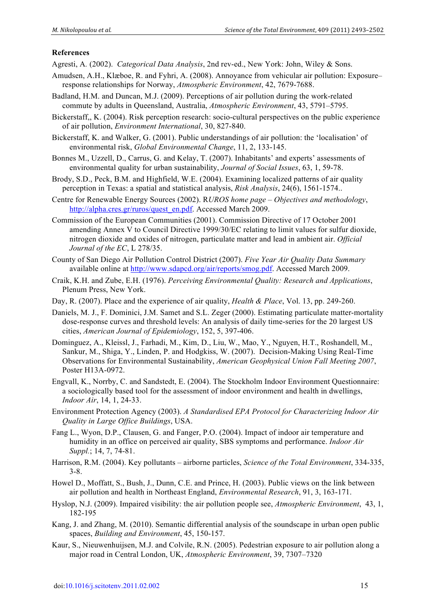#### **References**

- Agresti, A*.* (2002). *Categorical Data Analysis*, 2nd rev-ed., New York: John, Wiley & Sons.
- Amudsen, A.H., Klæboe, R. and Fyhri, A. (2008). Annoyance from vehicular air pollution: Exposure– response relationships for Norway, *Atmospheric Environment*, 42, 7679-7688.
- Badland, H.M. and Duncan, M.J. (2009). Perceptions of air pollution during the work-related commute by adults in Queensland, Australia, *Atmospheric Environment*, 43, 5791–5795.
- Bickerstaff,, K. (2004). Risk perception research: socio-cultural perspectives on the public experience of air pollution, *Environment International*, 30, 827-840.
- Bickerstaff, K. and Walker, G. (2001). Public understandings of air pollution: the 'localisation' of environmental risk, *Global Environmental Change*, 11, 2, 133-145.
- Bonnes M., Uzzell, D., Carrus, G. and Kelay, T. (2007). Inhabitants' and experts' assessments of environmental quality for urban sustainability, *Journal of Social Issues*, 63, 1, 59-78.
- Brody, S.D., Peck, B.M. and Highfield, W.E. (2004). Examining localized patterns of air quality perception in Texas: a spatial and statistical analysis, *Risk Analysis*, 24(6), 1561-1574..
- Centre for Renewable Energy Sources (2002). R*UROS home page Objectives and methodology*, http://alpha.cres.gr/ruros/quest\_en.pdf. Accessed March 2009.
- Commission of the European Communities (2001). Commission Directive of 17 October 2001 amending Annex  $\overline{V}$  to Council Directive 1999/30/EC relating to limit values for sulfur dioxide, nitrogen dioxide and oxides of nitrogen, particulate matter and lead in ambient air. *Official Journal of the EC*, L 278/35.
- County of San Diego Air Pollution Control District (2007). *Five Year Air Quality Data Summary* available online at http://www.sdapcd.org/air/reports/smog.pdf. Accessed March 2009.
- Craik, K.H. and Zube, E.H. (1976). *Perceiving Environmental Quality: Research and Applications*, Plenum Press, New York.
- Day, R. (2007). Place and the experience of air quality, *Health & Place*, Vol. 13, pp. 249-260.
- Daniels, M. J., F. Dominici, J.M. Samet and S.L. Zeger (2000). Estimating particulate matter-mortality dose-response curves and threshold levels: An analysis of daily time-series for the 20 largest US cities, *American Journal of Epidemiology*, 152, 5, 397-406.
- Dominguez, A., Kleissl, J., Farhadi, M., Kim, D., Liu, W., Mao, Y., Nguyen, H.T., Roshandell, M., Sankur, M., Shiga, Y., Linden, P. and Hodgkiss, W. (2007). Decision-Making Using Real-Time Observations for Environmental Sustainability, *American Geophysical Union Fall Meeting 2007*, Poster H13A-0972.
- Engvall, K., Norrby, C. and Sandstedt, E. (2004). The Stockholm Indoor Environment Questionnaire: a sociologically based tool for the assessment of indoor environment and health in dwellings, *Indoor Air*, 14, 1, 24-33.
- Environment Protection Agency (2003). *A Standardised EPA Protocol for Characterizing Indoor Air Quality in Large Office Buildings*, USA.
- Fang L., Wyon, D.P., Clausen, G. and Fanger, P.O. (2004). Impact of indoor air temperature and humidity in an office on perceived air quality, SBS symptoms and performance. *Indoor Air Suppl.*; 14, 7, 74-81.
- Harrison, R.M. (2004). Key pollutants airborne particles, *Science of the Total Environment*, 334-335, 3-8.
- Howel D., Moffatt, S., Bush, J., Dunn, C.E. and Prince, H. (2003). Public views on the link between air pollution and health in Northeast England, *Environmental Research*, 91, 3, 163-171.
- Hyslop, N.J. (2009). Impaired visibility: the air pollution people see, *Atmospheric Environment*, 43, 1, 182-195
- Kang, J. and Zhang, M. (2010). Semantic differential analysis of the soundscape in urban open public spaces, *Building and Environment*, 45, 150-157.
- Kaur, S., Nieuwenhuijsen, M.J. and Colvile, R.N. (2005). Pedestrian exposure to air pollution along a major road in Central London, UK, *Atmospheric Environment*, 39, 7307–7320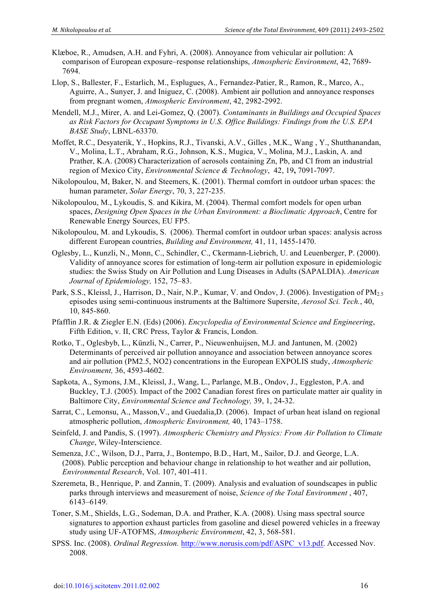- Klæboe, R., Amudsen, A.H. and Fyhri, A. (2008). Annoyance from vehicular air pollution: A comparison of European exposure–response relationships, *Atmospheric Environment*, 42, 7689- 7694.
- Llop, S., Ballester, F., Estarlich, M., Esplugues, A., Fernandez-Patier, R., Ramon, R., Marco, A., Aguirre, A., Sunyer, J. and Iniguez, C. (2008). Ambient air pollution and annoyance responses from pregnant women, *Atmospheric Environment*, 42, 2982-2992.
- Mendell, M.J., Mirer, A. and Lei-Gomez, Q. (2007). *Contaminants in Buildings and Occupied Spaces as Risk Factors for Occupant Symptoms in U.S. Office Buildings: Findings from the U.S. EPA BASE Study*, LBNL-63370.
- Moffet, R.C., Desyaterik, Y., Hopkins, R.J., Tivanski, A.V., Gilles , M.K., Wang , Y., Shutthanandan, V., Molina, L.T., Abraham, R.G., Johnson, K.S., Mugica, V., Molina, M.J., Laskin, A. and Prather, K.A. (2008) Characterization of aerosols containing Zn, Pb, and Cl from an industrial region of Mexico City, *Environmental Science & Technology*, 42, 19**,** 7091-7097.
- Nikolopoulou, M, Baker, N. and Steemers, K. (2001). Thermal comfort in outdoor urban spaces: the human parameter, *Solar Energy*, 70, 3, 227-235.
- Nikolopoulou, M., Lykoudis, S. and Kikira, M. (2004). Thermal comfort models for open urban spaces, *Designing Open Spaces in the Urban Environment: a Bioclimatic Approach*, Centre for Renewable Energy Sources, EU FP5.
- Nikolopoulou, M. and Lykoudis, S. (2006). Thermal comfort in outdoor urban spaces: analysis across different European countries, *Building and Environment,* 41, 11, 1455-1470.
- Oglesby, L., Kunzli, N., Monn, C., Schindler, C., Ckermann-Liebrich, U. and Leuenberger, P. (2000). Validity of annoyance scores for estimation of long-term air pollution exposure in epidemiologic studies: the Swiss Study on Air Pollution and Lung Diseases in Adults (SAPALDIA). *American Journal of Epidemiology,* 152, 75–83.
- Park, S.S., Kleissl, J., Harrison, D., Nair, N.P., Kumar, V. and Ondov, J. (2006). Investigation of PM<sub>2.5</sub> episodes using semi-continuous instruments at the Baltimore Supersite, *Aerosol Sci. Tech.*, 40, 10, 845-860.
- Pfafflin J.R. & Ziegler E.N. (Eds) (2006). *Encyclopedia of Environmental Science and Engineering*, Fifth Edition, v. II, CRC Press, Taylor & Francis, London.
- Rotko, T., Oglesbyb, L., Künzli, N., Carrer, P., Nieuwenhuijsen, M.J. and Jantunen, M. (2002) Determinants of perceived air pollution annoyance and association between annoyance scores and air pollution (PM2.5, NO2) concentrations in the European EXPOLIS study, *Atmospheric Environment,* 36, 4593-4602.
- Sapkota, A., Symons, J.M., Kleissl, J., Wang, L., Parlange, M.B., Ondov, J., Eggleston, P.A. and Buckley, T.J. (2005). Impact of the 2002 Canadian forest fires on particulate matter air quality in Baltimore City, *Environmental Science and Technology,* 39, 1, 24-32.
- Sarrat, C., Lemonsu, A., Masson,V., and Guedalia,D. (2006). Impact of urban heat island on regional atmospheric pollution, *Atmospheric Environment,* 40, 1743–1758.
- Seinfeld, J. and Pandis, S. (1997). *Atmospheric Chemistry and Physics: From Air Pollution to Climate Change*, Wiley-Interscience.
- Semenza, J.C., Wilson, D.J., Parra, J., Bontempo, B.D., Hart, M., Sailor, D.J. and George, L.A. (2008). Public perception and behaviour change in relationship to hot weather and air pollution, *Environmental Research*, Vol. 107, 401-411.
- Szeremeta, B., Henrique, P. and Zannin, T. (2009). Analysis and evaluation of soundscapes in public parks through interviews and measurement of noise, *Science of the Total Environment* , 407, 6143–6149.
- Toner, S.M., Shields, L.G., Sodeman, D.A. and Prather, K.A. (2008). Using mass spectral source signatures to apportion exhaust particles from gasoline and diesel powered vehicles in a freeway study using UF-ATOFMS, *Atmospheric Environment*, 42, 3, 568-581.
- SPSS. Inc. (2008). *Ordinal Regression.* http://www.norusis.com/pdf/ASPC\_v13.pdf. Accessed Nov. 2008.